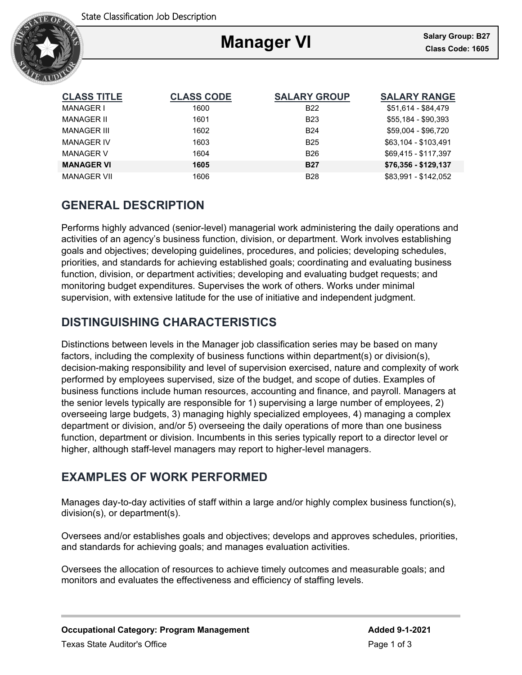

# **Manager VI**

Ξ

| <b>CLASS TITLE</b> | <b>CLASS CODE</b> | <b>SALARY GROUP</b> | <b>SALARY RANGE</b>  |
|--------------------|-------------------|---------------------|----------------------|
| MANAGER I          | 1600              | <b>B22</b>          | \$51,614 - \$84,479  |
| MANAGER II         | 1601              | <b>B23</b>          | \$55.184 - \$90.393  |
| MANAGER III        | 1602              | <b>B24</b>          | \$59,004 - \$96,720  |
| <b>MANAGER IV</b>  | 1603              | <b>B25</b>          | \$63.104 - \$103.491 |
| <b>MANAGER V</b>   | 1604              | <b>B26</b>          | \$69.415 - \$117.397 |
| <b>MANAGER VI</b>  | 1605              | <b>B27</b>          | \$76,356 - \$129,137 |
| <b>MANAGER VII</b> | 1606              | <b>B28</b>          | \$83.991 - \$142.052 |

# **GENERAL DESCRIPTION**

Performs highly advanced (senior-level) managerial work administering the daily operations and activities of an agency's business function, division, or department. Work involves establishing goals and objectives; developing guidelines, procedures, and policies; developing schedules, priorities, and standards for achieving established goals; coordinating and evaluating business function, division, or department activities; developing and evaluating budget requests; and monitoring budget expenditures. Supervises the work of others. Works under minimal supervision, with extensive latitude for the use of initiative and independent judgment.

# **DISTINGUISHING CHARACTERISTICS**

Distinctions between levels in the Manager job classification series may be based on many factors, including the complexity of business functions within department(s) or division(s), decision-making responsibility and level of supervision exercised, nature and complexity of work performed by employees supervised, size of the budget, and scope of duties. Examples of business functions include human resources, accounting and finance, and payroll. Managers at the senior levels typically are responsible for 1) supervising a large number of employees, 2) overseeing large budgets, 3) managing highly specialized employees, 4) managing a complex department or division, and/or 5) overseeing the daily operations of more than one business function, department or division. Incumbents in this series typically report to a director level or higher, although staff-level managers may report to higher-level managers.

# **EXAMPLES OF WORK PERFORMED**

Manages day-to-day activities of staff within a large and/or highly complex business function(s), division(s), or department(s).

Oversees and/or establishes goals and objectives; develops and approves schedules, priorities, and standards for achieving goals; and manages evaluation activities.

Oversees the allocation of resources to achieve timely outcomes and measurable goals; and monitors and evaluates the effectiveness and efficiency of staffing levels.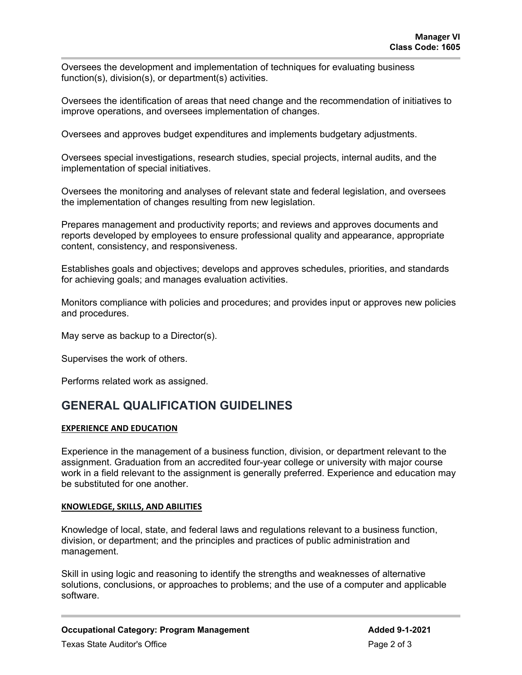Oversees the development and implementation of techniques for evaluating business function(s), division(s), or department(s) activities.

Oversees the identification of areas that need change and the recommendation of initiatives to improve operations, and oversees implementation of changes.

Oversees and approves budget expenditures and implements budgetary adjustments.

Oversees special investigations, research studies, special projects, internal audits, and the implementation of special initiatives.

Oversees the monitoring and analyses of relevant state and federal legislation, and oversees the implementation of changes resulting from new legislation.

Prepares management and productivity reports; and reviews and approves documents and reports developed by employees to ensure professional quality and appearance, appropriate content, consistency, and responsiveness.

Establishes goals and objectives; develops and approves schedules, priorities, and standards for achieving goals; and manages evaluation activities.

Monitors compliance with policies and procedures; and provides input or approves new policies and procedures.

May serve as backup to a Director(s).

Supervises the work of others.

Performs related work as assigned.

### **GENERAL QUALIFICATION GUIDELINES**

### **EXPERIENCE AND EDUCATION**

Experience in the management of a business function, division, or department relevant to the assignment. Graduation from an accredited four-year college or university with major course work in a field relevant to the assignment is generally preferred. Experience and education may be substituted for one another.

#### **KNOWLEDGE, SKILLS, AND ABILITIES**

Knowledge of local, state, and federal laws and regulations relevant to a business function, division, or department; and the principles and practices of public administration and management.

Skill in using logic and reasoning to identify the strengths and weaknesses of alternative solutions, conclusions, or approaches to problems; and the use of a computer and applicable software.